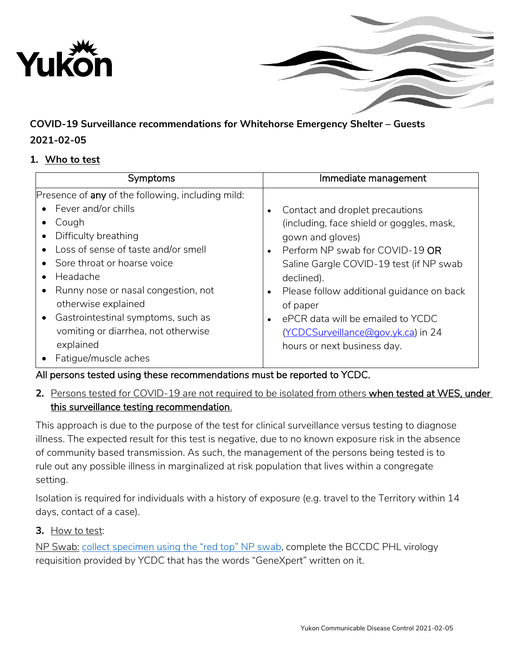



# **COVID-19 Surveillance recommendations for Whitehorse Emergency Shelter – Guests**

## **2021-02-05**

#### **1. Who to test**

| Symptoms                                          | Immediate management                                   |
|---------------------------------------------------|--------------------------------------------------------|
| Presence of any of the following, including mild: |                                                        |
| • Fever and/or chills                             | Contact and droplet precautions<br>$\bullet$           |
| Cough                                             | (including, face shield or goggles, mask,              |
| Difficulty breathing<br>٠                         | gown and gloves)                                       |
| Loss of sense of taste and/or smell               | Perform NP swab for COVID-19 OR<br>$\bullet$           |
| Sore throat or hoarse voice                       | Saline Gargle COVID-19 test (if NP swab                |
| Headache                                          | declined).                                             |
| Runny nose or nasal congestion, not               | Please follow additional guidance on back<br>$\bullet$ |
| otherwise explained                               | of paper                                               |
| Gastrointestinal symptoms, such as<br>$\bullet$   | ePCR data will be emailed to YCDC<br>$\bullet$         |
| vomiting or diarrhea, not otherwise               | (YCDCSurveillance@gov.yk.ca) in 24                     |
| explained                                         | hours or next business day.                            |
| Fatigue/muscle aches                              |                                                        |

# All persons tested using these recommendations must be reported to YCDC.

## **2.** Persons tested for COVID-19 are not required to be isolated from others when tested at WES, under this surveillance testing recommendation.

This approach is due to the purpose of the test for clinical surveillance versus testing to diagnose illness. The expected result for this test is negative, due to no known exposure risk in the absence of community based transmission. As such, the management of the persons being tested is to rule out any possible illness in marginalized at risk population that lives within a congregate setting.

Isolation is required for individuals with a history of exposure (e.g. travel to the Territory within 14 days, contact of a case).

### **3.** How to test:

NP Swab: collect specimen [using the "red top" NP swab](http://www.hss.gov.yk.ca/pdf/npswab.pdf), complete the BCCDC PHL virology requisition provided by YCDC that has the words "GeneXpert" written on it.